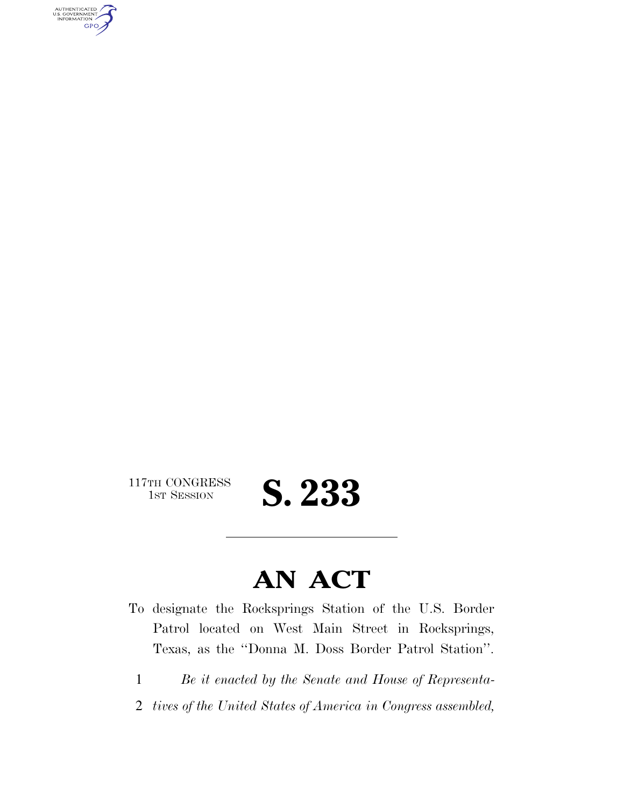AUTHENTICATED<br>U.S. GOVERNMENT<br>INFORMATION GPO

 $\begin{array}{c} \textbf{117TH CONGRESS} \\ \textbf{1ST SESION} \end{array}$ 

S. 233

## **AN ACT**

- To designate the Rocksprings Station of the U.S. Border Patrol located on West Main Street in Rocksprings, Texas, as the ''Donna M. Doss Border Patrol Station''.
	- 1 *Be it enacted by the Senate and House of Representa-*
	- 2 *tives of the United States of America in Congress assembled,*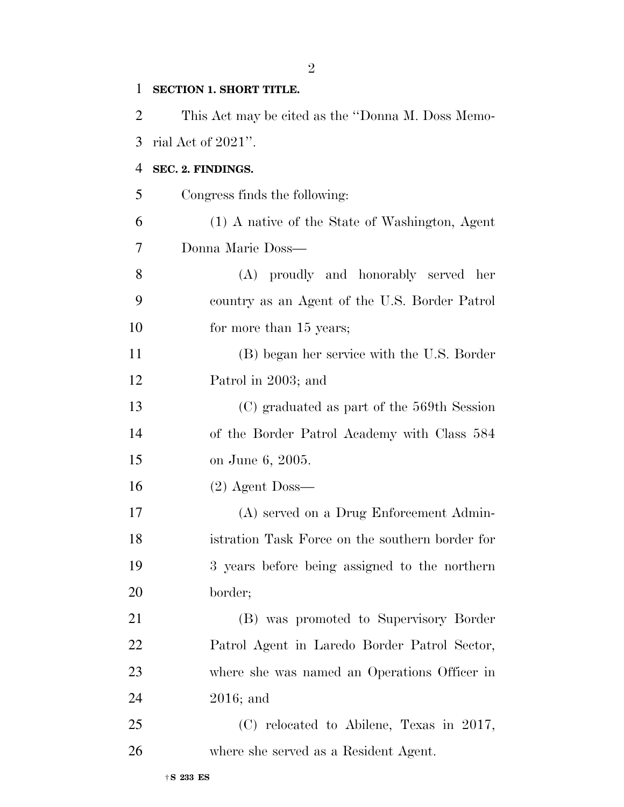| 1              | <b>SECTION 1. SHORT TITLE.</b>                    |
|----------------|---------------------------------------------------|
| $\overline{2}$ | This Act may be cited as the "Donna M. Doss Memo- |
| 3              | rial Act of $2021$ ".                             |
| $\overline{4}$ | SEC. 2. FINDINGS.                                 |
| 5              | Congress finds the following:                     |
| 6              | (1) A native of the State of Washington, Agent    |
| 7              | Donna Marie Doss—                                 |
| 8              | (A) proudly and honorably served her              |
| 9              | country as an Agent of the U.S. Border Patrol     |
| 10             | for more than 15 years;                           |
| 11             | (B) began her service with the U.S. Border        |
| 12             | Patrol in 2003; and                               |
| 13             | (C) graduated as part of the 569th Session        |
| 14             | of the Border Patrol Academy with Class 584       |
| 15             | on June 6, 2005.                                  |
| 16             | $(2)$ Agent Doss—                                 |
| 17             | (A) served on a Drug Enforcement Admin-           |
| 18             | istration Task Force on the southern border for   |
| 19             | 3 years before being assigned to the northern     |
| 20             | border;                                           |
| 21             | (B) was promoted to Supervisory Border            |
| 22             | Patrol Agent in Laredo Border Patrol Sector,      |
| 23             | where she was named an Operations Officer in      |
| 24             | $2016$ ; and                                      |
| 25             | (C) relocated to Abilene, Texas in 2017,          |
| 26             | where she served as a Resident Agent.             |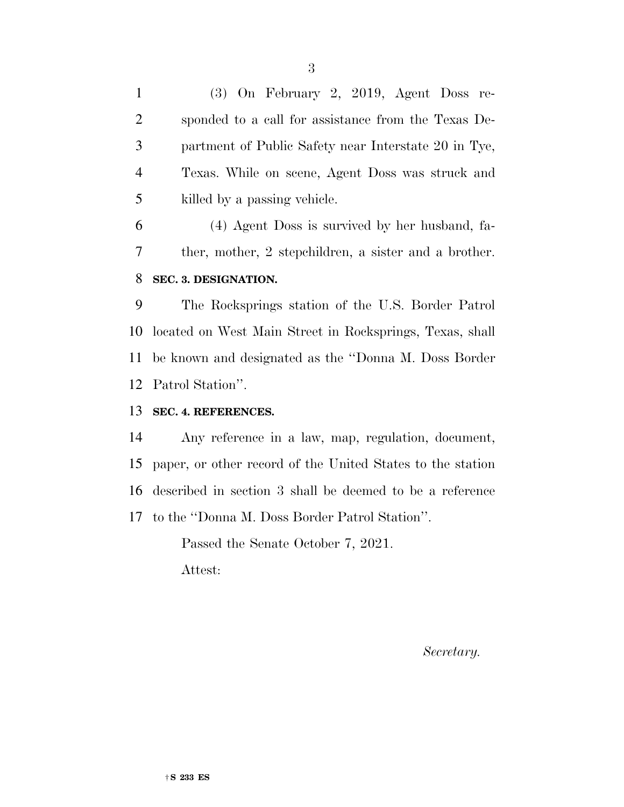(3) On February 2, 2019, Agent Doss re- sponded to a call for assistance from the Texas De- partment of Public Safety near Interstate 20 in Tye, Texas. While on scene, Agent Doss was struck and killed by a passing vehicle.

 (4) Agent Doss is survived by her husband, fa- ther, mother, 2 stepchildren, a sister and a brother. **SEC. 3. DESIGNATION.** 

 The Rocksprings station of the U.S. Border Patrol located on West Main Street in Rocksprings, Texas, shall be known and designated as the ''Donna M. Doss Border Patrol Station''.

## **SEC. 4. REFERENCES.**

 Any reference in a law, map, regulation, document, paper, or other record of the United States to the station described in section 3 shall be deemed to be a reference to the ''Donna M. Doss Border Patrol Station''.

> Passed the Senate October 7, 2021. Attest:

> > *Secretary.*